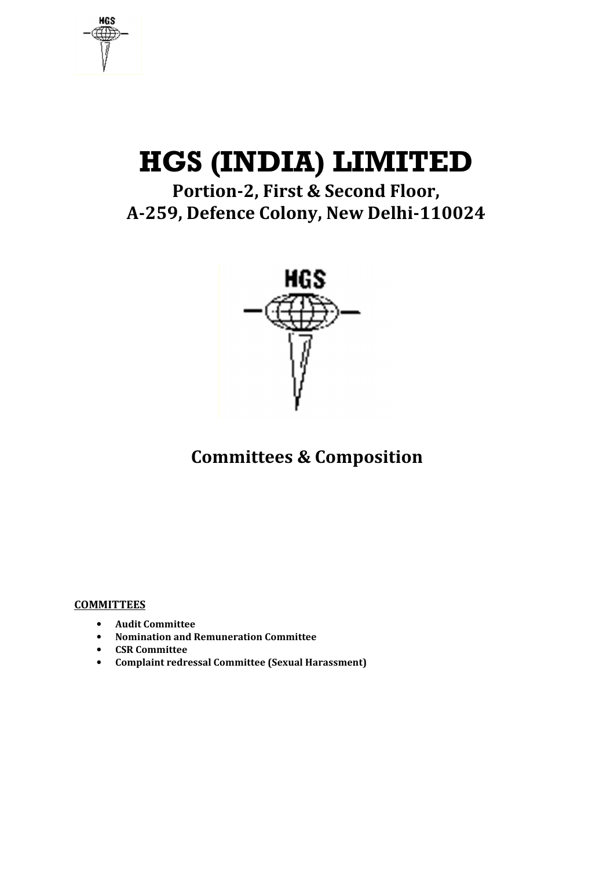**HGS** 

# **HGS (INDIA) LIMITED**

**Portion-2, First & Second Floor, A-259, Defence Colony, New Delhi-110024** 



## **Committees & Composition**

#### **COMMITTEES**

- **Audit Committee**
- **Nomination and Remuneration Committee**
- **CSR Committee**
- **Complaint redressal Committee (Sexual Harassment)**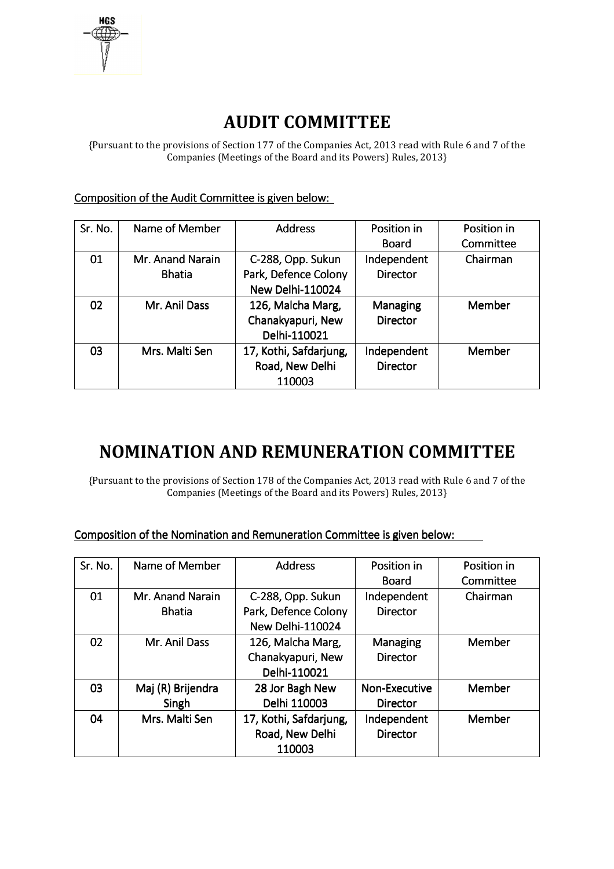

# **AUDIT COMMITTEE**

{Pursuant to the provisions of Section 177 of the Companies Act, 2013 read with Rule 6 and 7 of the Companies (Meetings of the Board and its Powers) Rules, 2013}

Composition of the Audit Committee is given below:

| Sr. No. | Name of Member   | <b>Address</b>         | Position in     | Position in |
|---------|------------------|------------------------|-----------------|-------------|
|         |                  |                        | Board           | Committee   |
| 01      | Mr. Anand Narain | C-288, Opp. Sukun      | Independent     | Chairman    |
|         | <b>Bhatia</b>    | Park, Defence Colony   | <b>Director</b> |             |
|         |                  | New Delhi-110024       |                 |             |
| 02      | Mr. Anil Dass    | 126, Malcha Marg,      | Managing        | Member      |
|         |                  | Chanakyapuri, New      | <b>Director</b> |             |
|         |                  | Delhi-110021           |                 |             |
| 03      | Mrs. Malti Sen   | 17, Kothi, Safdarjung, | Independent     | Member      |
|         |                  | Road, New Delhi        | <b>Director</b> |             |
|         |                  | 110003                 |                 |             |

### **NOMINATION AND REMUNERATION COMMITTEE**

{Pursuant to the provisions of Section 178 of the Companies Act, 2013 read with Rule 6 and 7 of the Companies (Meetings of the Board and its Powers) Rules, 2013}

| Composition of the Nomination and Remuneration Committee is given below: |  |
|--------------------------------------------------------------------------|--|
|--------------------------------------------------------------------------|--|

| Sr. No. | Name of Member    | <b>Address</b>         | Position in     | Position in |
|---------|-------------------|------------------------|-----------------|-------------|
|         |                   |                        | <b>Board</b>    | Committee   |
| 01      | Mr. Anand Narain  | C-288, Opp. Sukun      | Independent     | Chairman    |
|         | <b>Bhatia</b>     | Park, Defence Colony   | <b>Director</b> |             |
|         |                   | New Delhi-110024       |                 |             |
| 02      | Mr. Anil Dass     | 126, Malcha Marg,      | Managing        | Member      |
|         |                   | Chanakyapuri, New      | <b>Director</b> |             |
|         |                   | Delhi-110021           |                 |             |
| 03      | Maj (R) Brijendra | 28 Jor Bagh New        | Non-Executive   | Member      |
|         | Singh             | Delhi 110003           | <b>Director</b> |             |
| 04      | Mrs. Malti Sen    | 17, Kothi, Safdarjung, | Independent     | Member      |
|         |                   | Road, New Delhi        | <b>Director</b> |             |
|         |                   | 110003                 |                 |             |